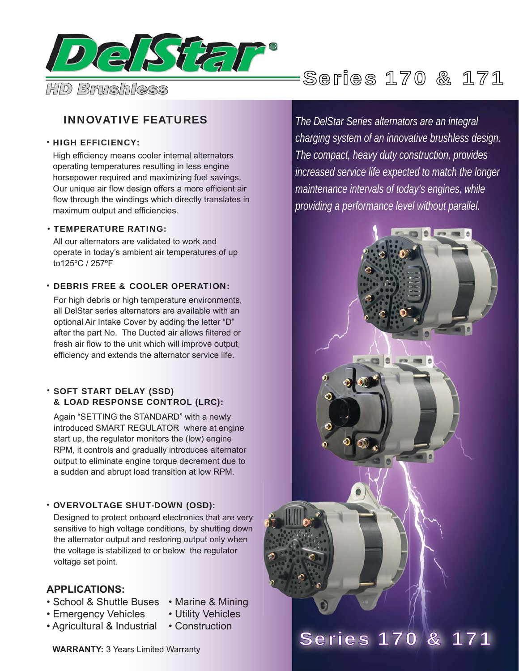

# INNOVATIVE FEATURES

## • HIGH EFFICIENCY:

High efficiency means cooler internal alternators operating temperatures resulting in less engine horsepower required and maximizing fuel savings. Our unique air flow design offers a more efficient air flow through the windings which directly translates in maximum output and efficiencies.

### TEMPERATURE RATING: •

All our alternators are validated to work and operate in today's ambient air temperatures of up to125ºC / 257ºF

### DEBRIS FREE & COOLER OPERATION: •

For high debris or high temperature environments, all DelStar series alternators are available with an optional Air Intake Cover by adding the letter "D" after the part No. The Ducted air allows filtered or fresh air flow to the unit which will improve output, efficiency and extends the alternator service life.

## • SOFT START DELAY (SSD) & LOAD RESPONSE CONTROL (LRC):

Again "SETTING the STANDARD" with a newly introduced SMART REGULATOR where at engine start up, the regulator monitors the (low) engine RPM, it controls and gradually introduces alternator output to eliminate engine torque decrement due to a sudden and abrupt load transition at low RPM.

# **• OVERVOLTAGE SHUT-DOWN (OSD):**

Designed to protect onboard electronics that are very sensitive to high voltage conditions, by shutting down the alternator output and restoring output only when the voltage is stabilized to or below the regulator voltage set point.

# **APPLICATIONS:**

- School & Shuttle Buses Marine & Mining
- Emergency Vehicles Utility Vehicles
- 
- Agricultural & Industrial Construction
	-

*The DelStar Series alternators are an integral charging system of an innovative brushless design. The compact, heavy duty construction, provides increased service life expected to match the longer maintenance intervals of today's engines, while providing a performance level without parallel.*



**WARRANTY:** 3 Years Limited Warranty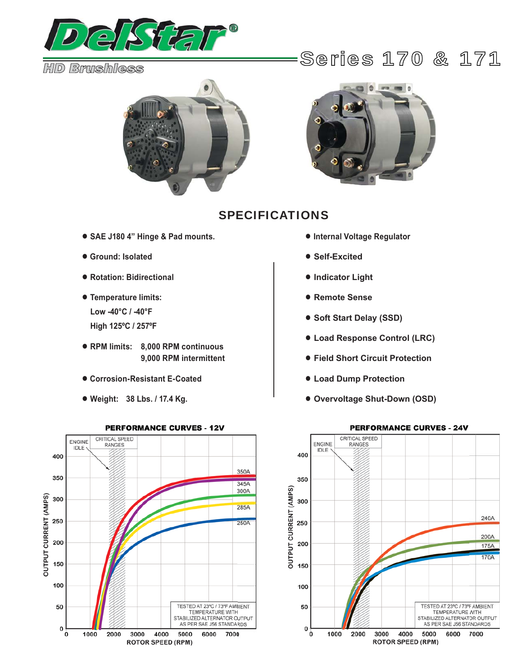

# *HD Brushless*





# SPECIFICATIONS

- **● SAE J180 4" Hinge & Pad mounts.**
- **● Ground: Isolated**
- **● Rotation: Bidirectional**
- **● Temperature limits: Low -40°C / -40°F High 125ºC / 257ºF**
- **● RPM limits: 8,000 RPM continuous 9,000 RPM intermittent**
- **● Corrosion-Resistant E-Coated**
- **● Weight: 38 Lbs. / 17.4 Kg.**



- **Internal Voltage Regulator**
- **Self-Excited**
- **Indicator Light**
- **Remote Sense**
- **Soft Start Delay (SSD)**
- **Load Response Control (LRC)**
- **Field Short Circuit Protection**
- **Load Dump Protection**
- **Overvoltage Shut-Down (OSD)**



#### **PERFORMANCE CURVES - 12V**

# Series 170 & 171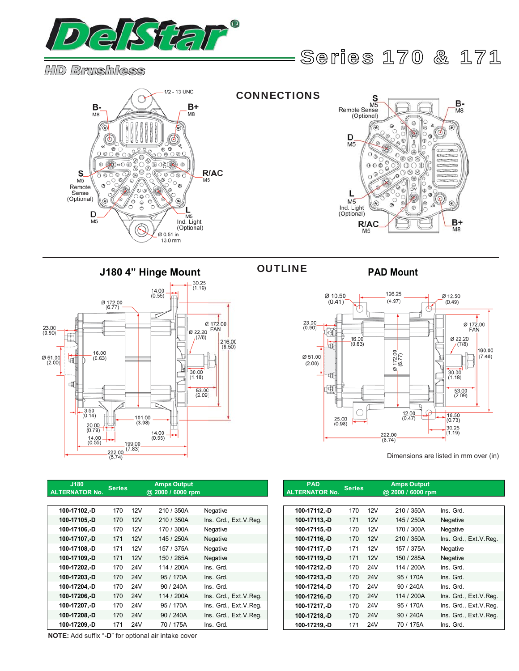

*HD Brushless*

Series 170 & 171





**J180 4" Hinge Mount PAD Mount**



**NOTE:** Add suffix "**-D**" for optional air intake cover

# OUTLINE



Dimensions are listed in mm over (in)

| J180<br><b>TERNATOR No.</b> | <b>Series</b> |            | <b>Amps Output</b><br>@ 2000 / 6000 rpm |                       | <b>PAD</b><br><b>ALTERNATOR No.</b> | <b>Series</b> |                 | <b>Amps Output</b><br>@ 2000 / 6000 rpm |                         |  |
|-----------------------------|---------------|------------|-----------------------------------------|-----------------------|-------------------------------------|---------------|-----------------|-----------------------------------------|-------------------------|--|
|                             |               |            |                                         |                       |                                     |               |                 |                                         |                         |  |
| 100-17102,-D                | 170           | 12V        | 210 / 350A                              | Negative              | 100-17112,-D                        | 170           | 12V             | 210 / 350A                              | Ins. Grd.               |  |
| 100-17105,-D                | 170           | 12V        | 210 / 350A                              | Ins. Grd., Ext.V.Reg. | 100-17113,-D                        | 171           | 12V             | 145 / 250A                              | Negative                |  |
| 100-17106.-D                | 170           | 12V        | 170 / 300A                              | Negative              | 100-17115,-D                        | 170           | 12V             | 170 / 300A                              | Negative                |  |
| 100-17107.-D                | 171           | 12V        | 145 / 250A                              | Negative              | 100-17116,-D                        | 170           | 12V             | 210 / 350A                              | Ins. Grd., Ext.V.Reg.   |  |
| 100-17108.-D                | 171           | 12V        | 157 / 375A                              | Negative              | 100-17117,-D                        | 171           | 12V             | 157 / 375A                              | Negative                |  |
| 100-17109,-D                | 171           | 12V        | 150 / 285A                              | Negative              | 100-17119,-D                        | 171           | 12V             | 150 / 285A                              | Negative                |  |
| 100-17202.-D                | 170           | <b>24V</b> | 114 / 200A                              | Ins. Grd.             | 100-17212,-D                        | 170           | 24V             | 114 / 200A                              | Ins. Grd.               |  |
| 100-17203,-D                | 170           | <b>24V</b> | 95 / 170A                               | Ins. Grd.             | 100-17213,-D                        | 170           | <b>24V</b>      | 95 / 170A                               | Ins. Grd.               |  |
| 100-17204,-D                | 170           | <b>24V</b> | 90 / 240A                               | Ins. Grd.             | 100-17214,-D                        | 170           | 24 <sub>V</sub> | 90 / 240A                               | Ins. Grd.               |  |
| 100-17206.-D                | 170           | <b>24V</b> | 114 / 200A                              | Ins. Grd., Ext.V.Req. | 100-17216, -D                       | 170           | 24V             | 114 / 200A                              | Ins. Grd., Ext. V. Req. |  |
| 100-17207, D                | 170           | <b>24V</b> | 95 / 170A                               | Ins. Grd., Ext.V.Reg. | 100-17217, -D                       | 170           | 24V             | 95 / 170A                               | Ins. Grd., Ext.V.Reg.   |  |
| 100-17208,-D                | 170           | <b>24V</b> | 90 / 240A                               | Ins. Grd., Ext.V.Req. | 100-17218,-D                        | 170           | 24V             | 90 / 240A                               | Ins. Grd., Ext.V.Req.   |  |
| 100-17209.-D                | 171           | <b>24V</b> | 70 / 175A                               | Ins. Grd.             | 100-17219,-D                        | 171           | 24V             | 70 / 175A                               | Ins. Grd.               |  |